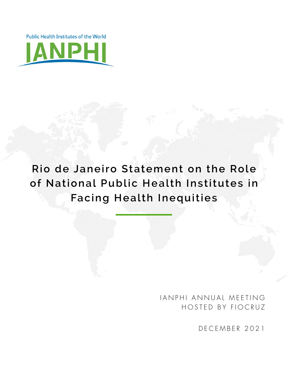Public Health Institutes of the World



## **Rio de Janeiro Statement on the Role of National Public Health Institutes in Facing Health Inequities**

IANPHI ANNUAL MEETING HOSTED BY FIOCRUZ

DECEMBER 2021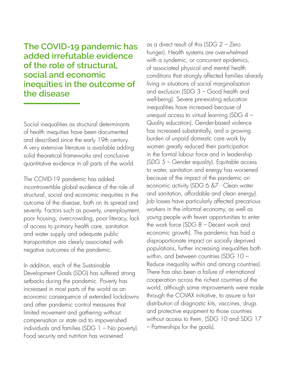**The COVID-19 pandemic has added irrefutable evidence of the role of structural, social and economic inequities in the outcome of the disease**

Social inequalities as structural determinants of health inequities have been documented and described since the early 19th century. A very extensive literature is available adding solid theoretical frameworks and conclusive quantitative evidence in all parts of the world.

The COVID-19 pandemic has added incontrovertible global evidence of the role of structural, social and economic inequities in the outcome of the disease, both on its spread and severity. Factors such as poverty, unemployment, poor housing, overcrowding, poor literacy, lack of access to primary health care, sanitation and water supply and adequate public transportation are clearly associated with negative outcomes of the pandemic.

In addition, each of the Sustainable Development Goals (SDG) has suffered strong setbacks during the pandemic. Poverty has increased in most parts of the world as an economic consequence of extended lockdowns and other pandemic control measures that limited movement and gathering without compensation or state aid to impoverished individuals and families (SDG 1 – No poverty). Food security and nutrition has worsened

as a direct result of this (SDG 2 – Zero hunger). Health systems are overwhelmed with a syndemic, or concurrent epidemics, of associated physical and mental health conditions that strongly affected families already living in situations of social marginalisation and exclusion (SDG 3 – Good health and well-being). Severe pre-existing education inequalities have increased because of unequal access to virtual learning (SDG 4 – Quality education). Gender-based violence has increased substantially, and a growing burden of unpaid domestic care work by women greatly reduced their participation in the formal labour force and in leadership (SDG 5 – Gender equality). Equitable access to water, sanitation and energy has worsened because of the impact of the pandemic on economic activity (SDG 6 &7 - Clean water and sanitation, affordable and clean energy). Job losses have particularly affected precarious workers in the informal economy, as well as young people with fewer opportunities to enter the work force (SDG 8 – Decent work and economic growth). The pandemic has had a disproportionate impact on socially deprived populations, further increasing inequalities both within, and between countries (SDG 10 – Reduce inequality within and among countries). There has also been a failure of international cooperation across the richest countries of the world, although some improvements were made through the COVAX initiative, to assure a fair distribution of diagnostic kits, vaccines, drugs and protective equipment to those countries without access to them, (SDG 10 and SDG 17 – Partnerships for the goals).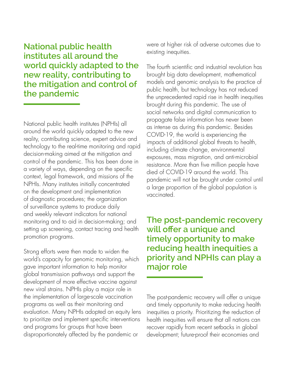**National public health institutes all around the world quickly adapted to the new reality, contributing to the mitigation and control of the pandemic**

National public health institutes (NPHIs) all around the world quickly adapted to the new reality, contributing science, expert advice and technology to the real-time monitoring and rapid decision-making aimed at the mitigation and control of the pandemic. This has been done in a variety of ways, depending on the specific context, legal framework, and missions of the NPHIs. Many institutes initially concentrated on the development and implementation of diagnostic procedures; the organization of surveillance systems to produce daily and weekly relevant indicators for national monitoring and to aid in decision-making; and setting up screening, contact tracing and health promotion programs.

Strong efforts were then made to widen the world's capacity for genomic monitoring, which gave important information to help monitor global transmission pathways and support the development of more effective vaccine against new viral strains. NPHIs play a major role in the implementation of large-scale vaccination programs as well as their monitoring and evaluation. Many NPHIs adopted an equity lens to prioritize and implement specific interventions and programs for groups that have been disproportionately affected by the pandemic or

were at higher risk of adverse outcomes due to existing inequities.

The fourth scientific and industrial revolution has brought big data development, mathematical models and genomic analysis to the practice of public health, but technology has not reduced the unprecedented rapid rise in health inequities brought during this pandemic. The use of social networks and digital communication to propagate false information has never been as intense as during this pandemic. Besides COVID-19, the world is experiencing the impacts of additional global threats to health, including climate change, environmental exposures, mass migration, and anti-microbial resistance. More than five million people have died of COVID-19 around the world. This pandemic will not be brought under control until a large proportion of the global population is vaccinated.

**The post-pandemic recovery will offer a unique and timely opportunity to make reducing health inequities a priority and NPHIs can play a major role**

The post-pandemic recovery will offer a unique and timely opportunity to make reducing health inequities a priority. Prioritizing the reduction of health inequities will ensure that all nations can recover rapidly from recent setbacks in global development; future-proof their economies and